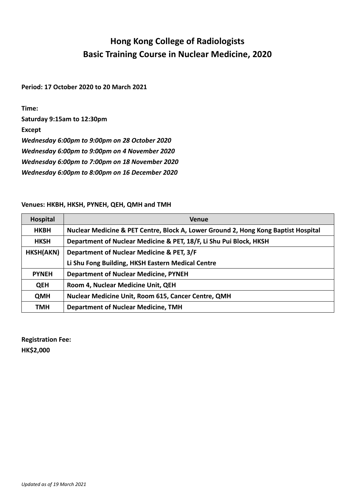## **Hong Kong College of Radiologists Basic Training Course in Nuclear Medicine, 2020**

**Period: 17 October 2020 to 20 March 2021**

**Time:** 

**Saturday 9:15am to 12:30pm**

**Except**

*Wednesday 6:00pm to 9:00pm on 28 October 2020*

*Wednesday 6:00pm to 9:00pm on 4 November 2020*

*Wednesday 6:00pm to 7:00pm on 18 November 2020*

*Wednesday 6:00pm to 8:00pm on 16 December 2020*

## **Venues: HKBH, HKSH, PYNEH, QEH, QMH and TMH**

| Hospital     | <b>Venue</b>                                                                       |
|--------------|------------------------------------------------------------------------------------|
| <b>HKBH</b>  | Nuclear Medicine & PET Centre, Block A, Lower Ground 2, Hong Kong Baptist Hospital |
| <b>HKSH</b>  | Department of Nuclear Medicine & PET, 18/F, Li Shu Pui Block, HKSH                 |
| HKSH(AKN)    | Department of Nuclear Medicine & PET, 3/F                                          |
|              | Li Shu Fong Building, HKSH Eastern Medical Centre                                  |
| <b>PYNEH</b> | <b>Department of Nuclear Medicine, PYNEH</b>                                       |
| <b>QEH</b>   | Room 4, Nuclear Medicine Unit, QEH                                                 |
| <b>QMH</b>   | <b>Nuclear Medicine Unit, Room 615, Cancer Centre, QMH</b>                         |
| TMH          | <b>Department of Nuclear Medicine, TMH</b>                                         |

**Registration Fee: HK\$2,000**